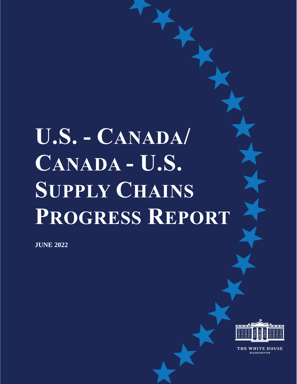# **U.S. - CANADA/ CANADA - U.S. SUPPLY CHAINS PROGRESS REPORT**

**JUNE 2022**



THE WHITE HOUSE WASHINGTON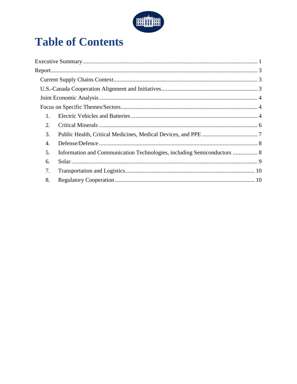

# **Table of Contents**

| $\mathbf{1}$ . |
|----------------|
| 2.             |
| 3.             |
| 4.             |
| 5.             |
| 6.             |
| 7.             |
| 8.             |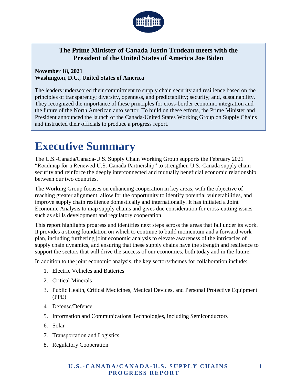

#### **The Prime Minister of Canada Justin Trudeau meets with the President of the United States of America Joe Biden**

#### **November 18, 2021 Washington, D.C., United States of America**

The leaders underscored their commitment to supply chain security and resilience based on the principles of transparency; diversity, openness, and predictability; security; and, sustainability. They recognized the importance of these principles for cross-border economic integration and the future of the North American auto sector. To build on these efforts, the Prime Minister and President announced the launch of the Canada-United States Working Group on Supply Chains and instructed their officials to produce a progress report.

## <span id="page-2-0"></span>**Executive Summary**

The U.S.-Canada/Canada-U.S. Supply Chain Working Group supports the February 2021 "Roadmap for a Renewed U.S.-Canada Partnership" to strengthen U.S.-Canada supply chain security and reinforce the deeply interconnected and mutually beneficial economic relationship between our two countries.

The Working Group focuses on enhancing cooperation in key areas, with the objective of reaching greater alignment, allow for the opportunity to identify potential vulnerabilities, and improve supply chain resilience domestically and internationally. It has initiated a Joint Economic Analysis to map supply chains and gives due consideration for cross-cutting issues such as skills development and regulatory cooperation.

This report highlights progress and identifies next steps across the areas that fall under its work. It provides a strong foundation on which to continue to build momentum and a forward work plan, including furthering joint economic analysis to elevate awareness of the intricacies of supply chain dynamics, and ensuring that these supply chains have the strength and resilience to support the sectors that will drive the success of our economies, both today and in the future.

In addition to the joint economic analysis, the key sectors/themes for collaboration include:

- 1. Electric Vehicles and Batteries
- 2. Critical Minerals
- 3. Public Health, Critical Medicines, Medical Devices, and Personal Protective Equipment (PPE)
- 4. Defense/Defence
- 5. Information and Communications Technologies, including Semiconductors
- 6. Solar
- 7. Transportation and Logistics
- 8. Regulatory Cooperation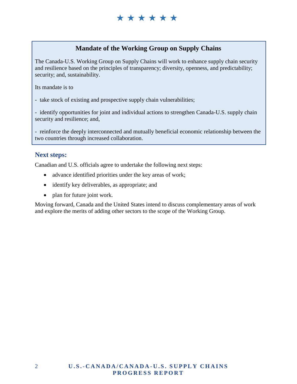#### **Mandate of the Working Group on Supply Chains**

The Canada-U.S. Working Group on Supply Chains will work to enhance supply chain security and resilience based on the principles of transparency; diversity, openness, and predictability; security; and, sustainability.

Its mandate is to

- take stock of existing and prospective supply chain vulnerabilities;

- identify opportunities for joint and individual actions to strengthen Canada-U.S. supply chain security and resilience; and,

- reinforce the deeply interconnected and mutually beneficial economic relationship between the two countries through increased collaboration.

#### **Next steps:**

Canadian and U.S. officials agree to undertake the following next steps:

- advance identified priorities under the key areas of work;
- identify key deliverables, as appropriate; and
- plan for future joint work.

Moving forward, Canada and the United States intend to discuss complementary areas of work and explore the merits of adding other sectors to the scope of the Working Group.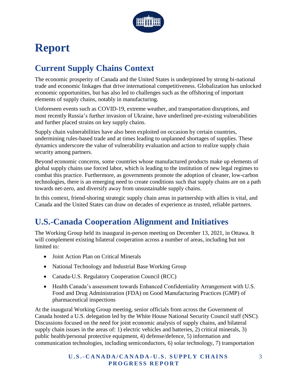

# <span id="page-4-0"></span>**Report**

## <span id="page-4-1"></span>**Current Supply Chains Context**

The economic prosperity of Canada and the United States is underpinned by strong bi-national trade and economic linkages that drive international competitiveness. Globalization has unlocked economic opportunities, but has also led to challenges such as the offshoring of important elements of supply chains, notably in manufacturing.

Unforeseen events such as COVID-19, extreme weather, and transportation disruptions, and most recently Russia's further invasion of Ukraine, have underlined pre-existing vulnerabilities and further placed strains on key supply chains.

Supply chain vulnerabilities have also been exploited on occasion by certain countries, undermining rules-based trade and at times leading to unplanned shortages of supplies. These dynamics underscore the value of vulnerability evaluation and action to realize supply chain security among partners.

Beyond economic concerns, some countries whose manufactured products make up elements of global supply chains use forced labor, which is leading to the institution of new legal regimes to combat this practice. Furthermore, as governments promote the adoption of cleaner, low-carbon technologies, there is an emerging need to create conditions such that supply chains are on a path towards net-zero, and diversify away from unsustainable supply chains.

In this context, friend-shoring strategic supply chain areas in partnership with allies is vital, and Canada and the United States can draw on decades of experience as trusted, reliable partners.

## <span id="page-4-2"></span>**U.S.-Canada Cooperation Alignment and Initiatives**

The Working Group held its inaugural in-person meeting on December 13, 2021, in Ottawa. It will complement existing bilateral cooperation across a number of areas, including but not limited to:

- Joint Action Plan on Critical Minerals
- National Technology and Industrial Base Working Group
- Canada-U.S. Regulatory Cooperation Council (RCC)
- Health Canada's assessment towards Enhanced Confidentiality Arrangement with U.S. Food and Drug Administration (FDA) on Good Manufacturing Practices (GMP) of pharmaceutical inspections

At the inaugural Working Group meeting, senior officials from across the Government of Canada hosted a U.S. delegation led by the White House National Security Council staff (NSC). Discussions focused on the need for joint economic analysis of supply chains, and bilateral supply chain issues in the areas of: 1) electric vehicles and batteries, 2) critical minerals, 3) public health/personal protective equipment, 4) defense/defence, 5) information and communication technologies, including semiconductors, 6) solar technology, 7) transportation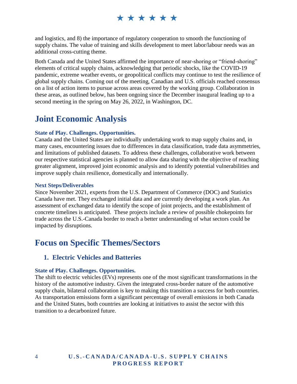and logistics, and 8) the importance of regulatory cooperation to smooth the functioning of supply chains. The value of training and skills development to meet labor/labour needs was an additional cross-cutting theme.

Both Canada and the United States affirmed the importance of near-shoring or "friend-shoring" elements of critical supply chains, acknowledging that periodic shocks, like the COVID-19 pandemic, extreme weather events, or geopolitical conflicts may continue to test the resilience of global supply chains. Coming out of the meeting, Canadian and U.S. officials reached consensus on a list of action items to pursue across areas covered by the working group. Collaboration in these areas, as outlined below, has been ongoing since the December inaugural leading up to a second meeting in the spring on May 26, 2022, in Washington, DC.

## <span id="page-5-0"></span>**Joint Economic Analysis**

#### **State of Play. Challenges. Opportunities.**

Canada and the United States are individually undertaking work to map supply chains and, in many cases, encountering issues due to differences in data classification, trade data asymmetries, and limitations of published datasets. To address these challenges, collaborative work between our respective statistical agencies is planned to allow data sharing with the objective of reaching greater alignment, improved joint economic analysis and to identify potential vulnerabilities and improve supply chain resilience, domestically and internationally.

#### **Next Steps/Deliverables**

Since November 2021, experts from the U.S. Department of Commerce (DOC) and Statistics Canada have met. They exchanged initial data and are currently developing a work plan. An assessment of exchanged data to identify the scope of joint projects, and the establishment of concrete timelines is anticipated. These projects include a review of possible chokepoints for trade across the U.S.-Canada border to reach a better understanding of what sectors could be impacted by disruptions.

## <span id="page-5-1"></span>**Focus on Specific Themes/Sectors**

#### <span id="page-5-2"></span>**1. Electric Vehicles and Batteries**

#### **State of Play. Challenges. Opportunities.**

The shift to electric vehicles (EVs) represents one of the most significant transformations in the history of the automotive industry. Given the integrated cross-border nature of the automotive supply chain, bilateral collaboration is key to making this transition a success for both countries. As transportation emissions form a significant percentage of overall emissions in both Canada and the United States, both countries are looking at initiatives to assist the sector with this transition to a decarbonized future.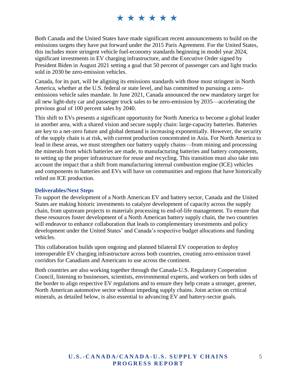Both Canada and the United States have made significant recent announcements to build on the emissions targets they have put forward under the 2015 Paris Agreement. For the United States, this includes more stringent vehicle fuel-economy standards beginning in model year 2024, significant investments in EV charging infrastructure, and the Executive Order signed by President Biden in August 2021 setting a goal that 50 percent of passenger cars and light trucks sold in 2030 be zero-emission vehicles.

Canada, for its part, will be aligning its emissions standards with those most stringent in North America, whether at the U.S. federal or state level, and has committed to pursuing a zeroemissions vehicle sales mandate. In June 2021, Canada announced the new mandatory target for all new light-duty car and passenger truck sales to be zero-emission by 2035—accelerating the previous goal of 100 percent sales by 2040.

This shift to EVs presents a significant opportunity for North America to become a global leader in another area, with a shared vision and secure supply chain: large-capacity batteries. Batteries are key to a net-zero future and global demand is increasing exponentially. However, the security of the supply chain is at risk, with current production concentrated in Asia. For North America to lead in these areas, we must strengthen our battery supply chains—from mining and processing the minerals from which batteries are made, to manufacturing batteries and battery components, to setting up the proper infrastructure for reuse and recycling. This transition must also take into account the impact that a shift from manufacturing internal combustion engine (ICE) vehicles and components to batteries and EVs will have on communities and regions that have historically relied on ICE production.

#### **Deliverables/Next Steps**

To support the development of a North American EV and battery sector, Canada and the United States are making historic investments to catalyze development of capacity across the supply chain, from upstream projects to materials processing to end-of-life management. To ensure that these resources foster development of a North American battery supply chain, the two countries will endeavor to enhance collaboration that leads to complementary investments and policy development under the United States' and Canada's respective budget allocations and funding vehicles.

This collaboration builds upon ongoing and planned bilateral EV cooperation to deploy interoperable EV charging infrastructure across both countries, creating zero-emission travel corridors for Canadians and Americans to use across the continent.

Both countries are also working together through the Canada-U.S. Regulatory Cooperation Council, listening to businesses, scientists, environmental experts, and workers on both sides of the border to align respective EV regulations and to ensure they help create a stronger, greener, North American automotive sector without impeding supply chains. Joint action on critical minerals, as detailed below, is also essential to advancing EV and battery-sector goals.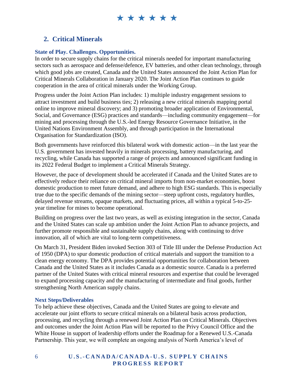#### <span id="page-7-0"></span>**2. Critical Minerals**

#### **State of Play. Challenges. Opportunities.**

In order to secure supply chains for the critical minerals needed for important manufacturing sectors such as aerospace and defense/defence, EV batteries, and other clean technology, through which good jobs are created, Canada and the United States announced the Joint Action Plan for Critical Minerals Collaboration in January 2020. The Joint Action Plan continues to guide cooperation in the area of critical minerals under the Working Group.

Progress under the Joint Action Plan includes: 1) multiple industry engagement sessions to attract investment and build business ties; 2) releasing a new critical minerals mapping portal online to improve mineral discovery; and 3) promoting broader application of Environmental, Social, and Governance (ESG) practices and standards—including community engagement—for mining and processing through the U.S.-led Energy Resource Governance Initiative, in the United Nations Environment Assembly, and through participation in the International Organisation for Standardization (ISO).

Both governments have reinforced this bilateral work with domestic action—in the last year the U.S. government has invested heavily in minerals processing, battery manufacturing, and recycling, while Canada has supported a range of projects and announced significant funding in its 2022 Federal Budget to implement a Critical Minerals Strategy.

However, the pace of development should be accelerated if Canada and the United States are to effectively reduce their reliance on critical mineral imports from non-market economies, boost domestic production to meet future demand, and adhere to high ESG standards. This is especially true due to the specific demands of the mining sector—steep upfront costs, regulatory hurdles, delayed revenue streams, opaque markets, and fluctuating prices, all within a typical 5-to-25 year timeline for mines to become operational.

Building on progress over the last two years, as well as existing integration in the sector, Canada and the United States can scale up ambition under the Joint Action Plan to advance projects, and further promote responsible and sustainable supply chains, along with continuing to drive innovation, all of which are vital to long-term competitiveness.

On March 31, President Biden invoked Section 303 of Title III under the Defense Production Act of 1950 (DPA) to spur domestic production of critical materials and support the transition to a clean energy economy. The DPA provides potential opportunities for collaboration between Canada and the United States as it includes Canada as a domestic source. Canada is a preferred partner of the United States with critical mineral resources and expertise that could be leveraged to expand processing capacity and the manufacturing of intermediate and final goods, further strengthening North American supply chains.

#### **Next Steps/Deliverables**

To help achieve these objectives, Canada and the United States are going to elevate and accelerate our joint efforts to secure critical minerals on a bilateral basis across production, processing, and recycling through a renewed Joint Action Plan on Critical Minerals. Objectives and outcomes under the Joint Action Plan will be reported to the Privy Council Office and the White House in support of leadership efforts under the Roadmap for a Renewed U.S.-Canada Partnership. This year, we will complete an ongoing analysis of North America's level of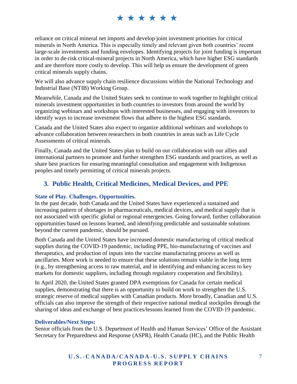reliance on critical mineral net imports and develop joint investment priorities for critical minerals in North America. This is especially timely and relevant given both countries' recent large-scale investments and funding envelopes. Identifying projects for joint funding is important in order to de-risk critical-mineral projects in North America, which have higher ESG standards and are therefore more costly to develop. This will help us ensure the development of green critical minerals supply chains.

We will also advance supply chain resilience discussions within the National Technology and Industrial Base (NTIB) Working Group.

Meanwhile, Canada and the United States seek to continue to work together to highlight critical minerals investment opportunities in both countries to investors from around the world by organizing webinars and workshops with interested businesses, and engaging with investors to identify ways to increase investment flows that adhere to the highest ESG standards.

Canada and the United States also expect to organize additional webinars and workshops to advance collaboration between researchers in both countries in areas such as Life Cycle Assessments of critical minerals.

Finally, Canada and the United States plan to build on our collaboration with our allies and international partners to promote and further strengthen ESG standards and practices, as well as share best practices for ensuring meaningful consultation and engagement with Indigenous peoples and timely permitting of critical minerals projects.

#### <span id="page-8-0"></span>**3. Public Health, Critical Medicines, Medical Devices, and PPE**

#### **State of Play. Challenges. Opportunities.**

In the past decade, both Canada and the United States have experienced a sustained and increasing pattern of shortages in pharmaceuticals, medical devices, and medical supply that is not associated with specific global or regional emergencies. Going forward, further collaboration opportunities based on lessons learned, and identifying predictable and sustainable solutions beyond the current pandemic, should be pursued.

Both Canada and the United States have increased domestic manufacturing of critical medical supplies during the COVID-19 pandemic, including PPE, bio-manufacturing of vaccines and therapeutics, and production of inputs into the vaccine manufacturing process as well as ancillaries. More work is needed to ensure that these solutions remain viable in the long term (e.g., by strengthening access to raw material, and in identifying and enhancing access to key markets for domestic suppliers, including through regulatory cooperation and flexibility).

In April 2020, the United States granted DPA exemptions for Canada for certain medical supplies, demonstrating that there is an opportunity to build on work to strengthen the U.S. strategic reserve of medical supplies with Canadian products. More broadly, Canadian and U.S. officials can also improve the strength of their respective national medical stockpiles through the sharing of ideas and exchange of best practices/lessons learned from the COVID-19 pandemic.

#### **Deliverables/Next Steps:**

Senior officials from the U.S. Department of Health and Human Services' Office of the Assistant Secretary for Preparedness and Response (ASPR), Health Canada (HC), and the Public Health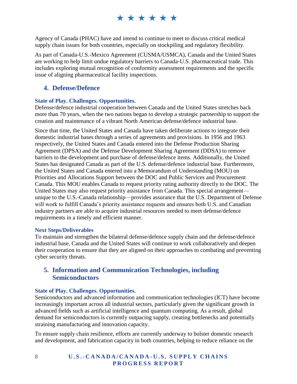Agency of Canada (PHAC) have and intend to continue to meet to discuss critical medical supply chain issues for both countries, especially on stockpiling and regulatory flexibility.

As part of Canada-U.S.-Mexico Agreement (CUSMA/USMCA), Canada and the United States are working to help limit undue regulatory barriers to Canada-U.S. pharmaceutical trade. This includes exploring mutual recognition of conformity assessment requirements and the specific issue of aligning pharmaceutical facility inspections.

#### <span id="page-9-0"></span>**4. Defense/Defence**

#### **State of Play. Challenges. Opportunities.**

Defense/defence industrial cooperation between Canada and the United States stretches back more than 70 years, when the two nations began to develop a strategic partnership to support the creation and maintenance of a vibrant North American defense/defence industrial base.

Since that time, the United States and Canada have taken deliberate actions to integrate their domestic industrial bases through a series of agreements and provisions. In 1956 and 1963 respectively, the United States and Canada entered into the Defense Production Sharing Agreement (DPSA) and the Defense Development Sharing Agreement (DDSA) to remove barriers to the development and purchase of defense/defence items. Additionally, the United States has designated Canada as part of the U.S. defense/defence industrial base. Furthermore, the United States and Canada entered into a Memorandum of Understanding (MOU) on Priorities and Allocations Support between the DOC and Public Services and Procurement Canada. This MOU enables Canada to request priority rating authority directly to the DOC. The United States may also request priority assistance from Canada. This special arrangement unique to the U.S.-Canada relationship—provides assurance that the U.S. Department of Defense will work to fulfill Canada's priority assistance requests and ensures both U.S. and Canadian industry partners are able to acquire industrial resources needed to meet defense/defence requirements in a timely and efficient manner.

#### **Next Steps/Deliverables**

To maintain and strengthen the bilateral defense/defence supply chain and the defense/defence industrial base, Canada and the United States will continue to work collaboratively and deepen their cooperation to ensure that they are aligned on their approaches to combating and preventing cyber security threats.

#### <span id="page-9-1"></span>**5. Information and Communication Technologies, including Semiconductors**

#### **State of Play. Challenges. Opportunities.**

Semiconductors and advanced information and communication technologies (ICT) have become increasingly important across all industrial sectors, particularly given the significant growth in advanced fields such as artificial intelligence and quantum computing. As a result, global demand for semiconductors is currently outpacing supply, creating bottlenecks and potentially straining manufacturing and innovation capacity.

To ensure supply chain resilience, efforts are currently underway to bolster domestic research and development, and fabrication capacity in both countries, helping to reduce reliance on the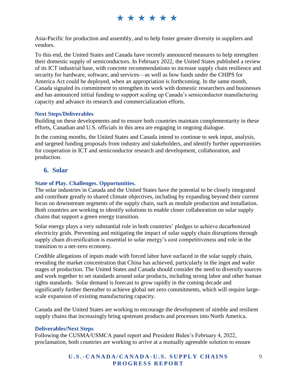Asia-Pacific for production and assembly, and to help foster greater diversity in suppliers and vendors.

To this end, the United States and Canada have recently announced measures to help strengthen their domestic supply of semiconductors. In February 2022, the United States published a review of its ICT industrial base, with concrete recommendations to increase supply chain resilience and security for hardware, software, and services—as well as how funds under the CHIPS for America Act could be deployed, when an appropriation is forthcoming. In the same month, Canada signaled its commitment to strengthen its work with domestic researchers and businesses and has announced initial funding to support scaling up Canada's semiconductor manufacturing capacity and advance its research and commercialization efforts.

#### **Next Steps/Deliverables**

Building on these developments and to ensure both countries maintain complementarity in these efforts, Canadian and U.S. officials in this area are engaging in ongoing dialogue.

In the coming months, the United States and Canada intend to continue to seek input, analysis, and targeted funding proposals from industry and stakeholders, and identify further opportunities for cooperation in ICT and semiconductor research and development, collaboration, and production.

#### <span id="page-10-0"></span>**6. Solar**

#### **State of Play. Challenges. Opportunities.**

The solar industries in Canada and the United States have the potential to be closely integrated and contribute greatly to shared climate objectives, including by expanding beyond their current focus on downstream segments of the supply chain, such as module production and installation. Both countries are working to identify solutions to enable closer collaboration on solar supply chains that support a green energy transition.

Solar energy plays a very substantial role in both countries' pledges to achieve decarbonized electricity grids. Preventing and mitigating the impact of solar supply chain disruptions through supply chain diversification is essential to solar energy's cost competitiveness and role in the transition to a net-zero economy.

Credible allegations of inputs made with forced labor have surfaced in the solar supply chain, revealing the market concentration that China has achieved, particularly in the ingot and wafer stages of production. The United States and Canada should consider the need to diversify sources and work together to set standards around solar products, including strong labor and other human rights standards. Solar demand is forecast to grow rapidly in the coming decade and significantly further thereafter to achieve global net zero commitments, which will require largescale expansion of existing manufacturing capacity.

Canada and the United States are working to encourage the development of nimble and resilient supply chains that increasingly bring upstream products and processes into North America.

#### **Deliverables/Next Steps**

Following the CUSMA/USMCA panel report and President Biden's February 4, 2022, proclamation, both countries are working to arrive at a mutually agreeable solution to ensure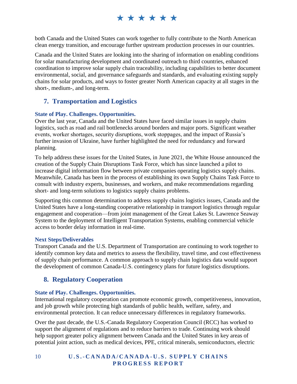both Canada and the United States can work together to fully contribute to the North American clean energy transition, and encourage further upstream production processes in our countries.

Canada and the United States are looking into the sharing of information on enabling conditions for solar manufacturing development and coordinated outreach to third countries, enhanced coordination to improve solar supply chain traceability, including capabilities to better document environmental, social, and governance safeguards and standards, and evaluating existing supply chains for solar products, and ways to foster greater North American capacity at all stages in the short-, medium-, and long-term.

#### <span id="page-11-0"></span>**7. Transportation and Logistics**

#### **State of Play. Challenges. Opportunities.**

Over the last year, Canada and the United States have faced similar issues in supply chains logistics, such as road and rail bottlenecks around borders and major ports. Significant weather events, worker shortages, security disruptions, work stoppages, and the impact of Russia's further invasion of Ukraine, have further highlighted the need for redundancy and forward planning.

To help address these issues for the United States, in June 2021, the White House announced the creation of the Supply Chain Disruptions Task Force, which has since launched a pilot to increase digital information flow between private companies operating logistics supply chains. Meanwhile, Canada has been in the process of establishing its own Supply Chains Task Force to consult with industry experts, businesses, and workers, and make recommendations regarding short- and long-term solutions to logistics supply chains problems.

Supporting this common determination to address supply chains logistics issues, Canada and the United States have a long-standing cooperative relationship in transport logistics through regular engagement and cooperation—from joint management of the Great Lakes St. Lawrence Seaway System to the deployment of Intelligent Transportation Systems, enabling commercial vehicle access to border delay information in real-time.

#### **Next Steps/Deliverables**

Transport Canada and the U.S. Department of Transportation are continuing to work together to identify common key data and metrics to assess the flexibility, travel time, and cost effectiveness of supply chain performance. A common approach to supply chain logistics data would support the development of common Canada-U.S. contingency plans for future logistics disruptions.

#### <span id="page-11-1"></span>**8. Regulatory Cooperation**

#### **State of Play. Challenges. Opportunities.**

International regulatory cooperation can promote economic growth, competitiveness, innovation, and job growth while protecting high standards of public health, welfare, safety, and environmental protection. It can reduce unnecessary differences in regulatory frameworks.

Over the past decade, the U.S.-Canada Regulatory Cooperation Council (RCC) has worked to support the alignment of regulations and to reduce barriers to trade. Continuing work should help support greater policy alignment between Canada and the United States in key areas of potential joint action, such as medical devices, PPE, critical minerals, semiconductors, electric